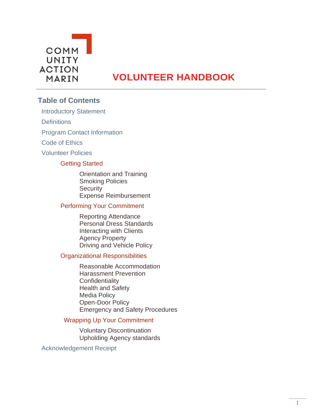

# **VOLUNTEER HANDBOOK**

## **Table of Contents**

Introductory Statement

**Definitions** 

Program Contact Information

Code of Ethics

Volunteer Policies

### Getting Started

Orientation and Training Smoking Policies **Security** Expense Reimbursement

#### Performing Your Commitment

Reporting Attendance Personal Dress Standards Interacting with Clients Agency Property Driving and Vehicle Policy

#### Organizational Responsibilities

Reasonable Accommodation Harassment Prevention **Confidentiality** Health and Safety Media Policy Open-Door Policy Emergency and Safety Procedures

#### Wrapping Up Your Commitment

Voluntary Discontinuation Upholding Agency standards

Acknowledgement Receipt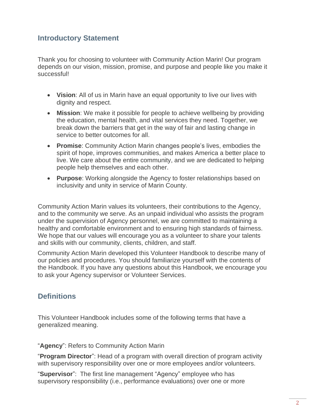## **Introductory Statement**

Thank you for choosing to volunteer with Community Action Marin! Our program depends on our vision, mission, promise, and purpose and people like you make it successful!

- **Vision**: All of us in Marin have an equal opportunity to live our lives with dignity and respect.
- **Mission**: We make it possible for people to achieve wellbeing by providing the education, mental health, and vital services they need. Together, we break down the barriers that get in the way of fair and lasting change in service to better outcomes for all.
- **Promise**: Community Action Marin changes people's lives, embodies the spirit of hope, improves communities, and makes America a better place to live. We care about the entire community, and we are dedicated to helping people help themselves and each other.
- **Purpose**: Working alongside the Agency to foster relationships based on inclusivity and unity in service of Marin County.

Community Action Marin values its volunteers, their contributions to the Agency, and to the community we serve. As an unpaid individual who assists the program under the supervision of Agency personnel, we are committed to maintaining a healthy and comfortable environment and to ensuring high standards of fairness. We hope that our values will encourage you as a volunteer to share your talents and skills with our community, clients, children, and staff.

Community Action Marin developed this Volunteer Handbook to describe many of our policies and procedures. You should familiarize yourself with the contents of the Handbook. If you have any questions about this Handbook, we encourage you to ask your Agency supervisor or Volunteer Services.

## **Definitions**

This Volunteer Handbook includes some of the following terms that have a generalized meaning.

"**Agency**": Refers to Community Action Marin

"**Program Director**": Head of a program with overall direction of program activity with supervisory responsibility over one or more employees and/or volunteers.

"**Supervisor**": The first line management "Agency" employee who has supervisory responsibility (i.e., performance evaluations) over one or more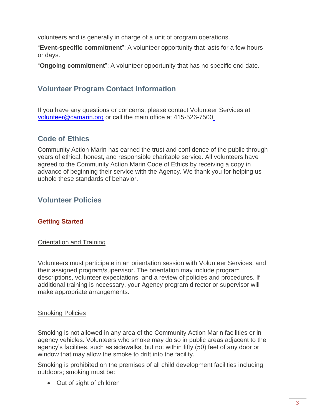volunteers and is generally in charge of a unit of program operations.

"**Event-specific commitment**": A volunteer opportunity that lasts for a few hours or days.

"**Ongoing commitment**": A volunteer opportunity that has no specific end date.

## **Volunteer Program Contact Information**

If you have any questions or concerns, please contact Volunteer Services at [volunteer@camarin.org](mailto:volunteer@camarin.org) or call the main office at 415-526-750[0.](mailto:volunteer@camarin.org)

## **Code of Ethics**

Community Action Marin has earned the trust and confidence of the public through years of ethical, honest, and responsible charitable service. All volunteers have agreed to the Community Action Marin Code of Ethics by receiving a copy in advance of beginning their service with the Agency. We thank you for helping us uphold these standards of behavior.

## **Volunteer Policies**

## **Getting Started**

#### **Orientation and Training**

Volunteers must participate in an orientation session with Volunteer Services, and their assigned program/supervisor. The orientation may include program descriptions, volunteer expectations, and a review of policies and procedures. If additional training is necessary, your Agency program director or supervisor will make appropriate arrangements.

#### Smoking Policies

Smoking is not allowed in any area of the Community Action Marin facilities or in agency vehicles. Volunteers who smoke may do so in public areas adjacent to the agency's facilities, such as sidewalks, but not within fifty (50) feet of any door or window that may allow the smoke to drift into the facility.

Smoking is prohibited on the premises of all child development facilities including outdoors; smoking must be:

• Out of sight of children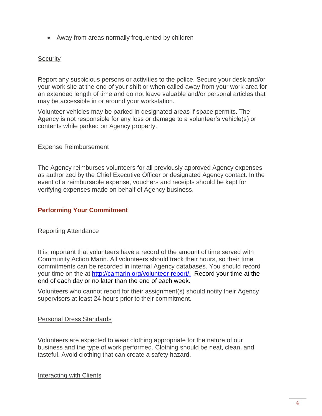• Away from areas normally frequented by children

### **Security**

Report any suspicious persons or activities to the police. Secure your desk and/or your work site at the end of your shift or when called away from your work area for an extended length of time and do not leave valuable and/or personal articles that may be accessible in or around your workstation.

Volunteer vehicles may be parked in designated areas if space permits. The Agency is not responsible for any loss or damage to a volunteer's vehicle(s) or contents while parked on Agency property.

#### Expense Reimbursement

The Agency reimburses volunteers for all previously approved Agency expenses as authorized by the Chief Executive Officer or designated Agency contact. In the event of a reimbursable expense, vouchers and receipts should be kept for verifying expenses made on behalf of Agency business.

### **Performing Your Commitment**

#### Reporting Attendance

It is important that volunteers have a record of the amount of time served with Community Action Marin. All volunteers should track their hours, so their time commitments can be recorded in internal Agency databases. You should record your time on the at [http://camarin.org/volunteer-report/.](http://camarin.org/volunteer-report/) Record your time at the end of each day or no later than the end of each week.

Volunteers who cannot report for their assignment(s) should notify their Agency supervisors at least 24 hours prior to their commitment.

#### Personal Dress Standards

Volunteers are expected to wear clothing appropriate for the nature of our business and the type of work performed. Clothing should be neat, clean, and tasteful. Avoid clothing that can create a safety hazard.

#### Interacting with Clients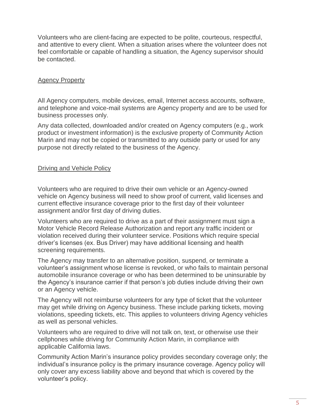Volunteers who are client-facing are expected to be polite, courteous, respectful, and attentive to every client. When a situation arises where the volunteer does not feel comfortable or capable of handling a situation, the Agency supervisor should be contacted.

### Agency Property

All Agency computers, mobile devices, email, Internet access accounts, software, and telephone and voice-mail systems are Agency property and are to be used for business processes only.

Any data collected, downloaded and/or created on Agency computers (e.g., work product or investment information) is the exclusive property of Community Action Marin and may not be copied or transmitted to any outside party or used for any purpose not directly related to the business of the Agency.

#### Driving and Vehicle Policy

Volunteers who are required to drive their own vehicle or an Agency-owned vehicle on Agency business will need to show proof of current, valid licenses and current effective insurance coverage prior to the first day of their volunteer assignment and/or first day of driving duties.

Volunteers who are required to drive as a part of their assignment must sign a Motor Vehicle Record Release Authorization and report any traffic incident or violation received during their volunteer service. Positions which require special driver's licenses (ex. Bus Driver) may have additional licensing and health screening requirements.

The Agency may transfer to an alternative position, suspend, or terminate a volunteer's assignment whose license is revoked, or who fails to maintain personal automobile insurance coverage or who has been determined to be uninsurable by the Agency's insurance carrier if that person's job duties include driving their own or an Agency vehicle.

The Agency will not reimburse volunteers for any type of ticket that the volunteer may get while driving on Agency business. These include parking tickets, moving violations, speeding tickets, etc. This applies to volunteers driving Agency vehicles as well as personal vehicles.

Volunteers who are required to drive will not talk on, text, or otherwise use their cellphones while driving for Community Action Marin, in compliance with applicable California laws.

Community Action Marin's insurance policy provides secondary coverage only; the individual's insurance policy is the primary insurance coverage. Agency policy will only cover any excess liability above and beyond that which is covered by the volunteer's policy.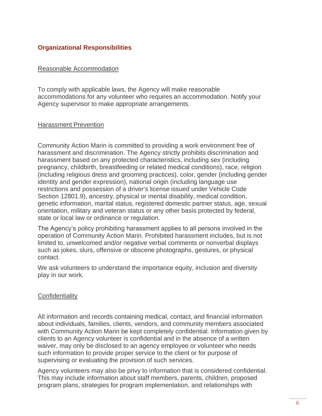## **Organizational Responsibilities**

#### Reasonable Accommodation

To comply with applicable laws, the Agency will make reasonable accommodations for any volunteer who requires an accommodation. Notify your Agency supervisor to make appropriate arrangements.

#### Harassment Prevention

Community Action Marin is committed to providing a work environment free of harassment and discrimination. The Agency strictly prohibits discrimination and harassment based on any protected characteristics, including sex (including pregnancy, childbirth, breastfeeding or related medical conditions), race, religion (including religious dress and grooming practices), color, gender (including gender identity and gender expression), national origin (including language use restrictions and possession of a driver's license issued under Vehicle Code Section 12801.9), ancestry, physical or mental disability, medical condition, genetic information, marital status, registered domestic partner status, age, sexual orientation, military and veteran status or any other basis protected by federal, state or local law or ordinance or regulation.

The Agency's policy prohibiting harassment applies to all persons involved in the operation of Community Action Marin. Prohibited harassment includes, but is not limited to, unwelcomed and/or negative verbal comments or nonverbal displays such as jokes, slurs, offensive or obscene photographs, gestures, or physical contact.

We ask volunteers to understand the importance equity, inclusion and diversity play in our work.

#### **Confidentiality**

All information and records containing medical, contact, and financial information about individuals, families, clients, vendors, and community members associated with Community Action Marin be kept completely confidential. Information given by clients to an Agency volunteer is confidential and in the absence of a written waiver, may only be disclosed to an agency employee or volunteer who needs such information to provide proper service to the client or for purpose of supervising or evaluating the provision of such services.

Agency volunteers may also be privy to information that is considered confidential. This may include information about staff members, parents, children, proposed program plans, strategies for program implementation, and relationships with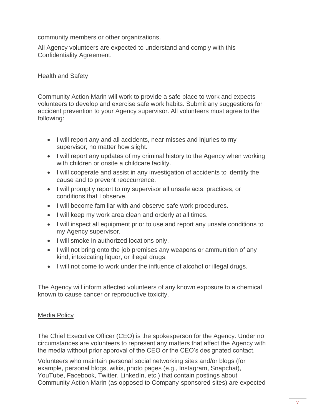community members or other organizations.

All Agency volunteers are expected to understand and comply with this Confidentiality Agreement.

## Health and Safety

Community Action Marin will work to provide a safe place to work and expects volunteers to develop and exercise safe work habits. Submit any suggestions for accident prevention to your Agency supervisor. All volunteers must agree to the following:

- I will report any and all accidents, near misses and injuries to my supervisor, no matter how slight.
- I will report any updates of my criminal history to the Agency when working with children or onsite a childcare facility.
- I will cooperate and assist in any investigation of accidents to identify the cause and to prevent reoccurrence.
- I will promptly report to my supervisor all unsafe acts, practices, or conditions that I observe.
- I will become familiar with and observe safe work procedures.
- I will keep my work area clean and orderly at all times.
- I will inspect all equipment prior to use and report any unsafe conditions to my Agency supervisor.
- I will smoke in authorized locations only.
- I will not bring onto the job premises any weapons or ammunition of any kind, intoxicating liquor, or illegal drugs.
- I will not come to work under the influence of alcohol or illegal drugs.

The Agency will inform affected volunteers of any known exposure to a chemical known to cause cancer or reproductive toxicity.

### Media Policy

The Chief Executive Officer (CEO) is the spokesperson for the Agency. Under no circumstances are volunteers to represent any matters that affect the Agency with the media without prior approval of the CEO or the CEO's designated contact.

Volunteers who maintain personal social networking sites and/or blogs (for example, personal blogs, wikis, photo pages (e.g., Instagram, Snapchat), YouTube, Facebook, Twitter, LinkedIn, etc.) that contain postings about Community Action Marin (as opposed to Company-sponsored sites) are expected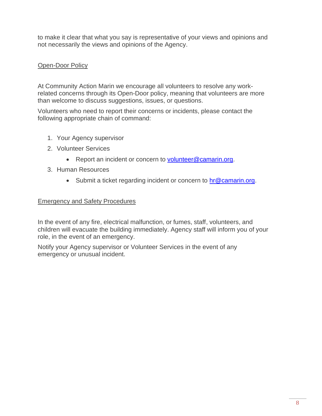to make it clear that what you say is representative of your views and opinions and not necessarily the views and opinions of the Agency.

## Open-Door Policy

At Community Action Marin we encourage all volunteers to resolve any workrelated concerns through its Open-Door policy, meaning that volunteers are more than welcome to discuss suggestions, issues, or questions.

Volunteers who need to report their concerns or incidents, please contact the following appropriate chain of command:

- 1. Your Agency supervisor
- 2. Volunteer Services
	- Report an incident or concern to [volunteer@camarin.org.](mailto:volunteer@camarin.org)
- 3. Human Resources
	- Submit a ticket regarding incident or concern to [hr@camarin.org.](mailto:hr@camarin.org)

### Emergency and Safety Procedures

In the event of any fire, electrical malfunction, or fumes, staff, volunteers, and children will evacuate the building immediately. Agency staff will inform you of your role, in the event of an emergency.

Notify your Agency supervisor or Volunteer Services in the event of any emergency or unusual incident.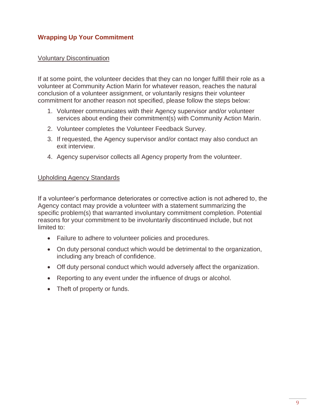## **Wrapping Up Your Commitment**

#### Voluntary Discontinuation

If at some point, the volunteer decides that they can no longer fulfill their role as a volunteer at Community Action Marin for whatever reason, reaches the natural conclusion of a volunteer assignment, or voluntarily resigns their volunteer commitment for another reason not specified, please follow the steps below:

- 1. Volunteer communicates with their Agency supervisor and/or volunteer services about ending their commitment(s) with Community Action Marin.
- 2. Volunteer completes the Volunteer Feedback Survey.
- 3. If requested, the Agency supervisor and/or contact may also conduct an exit interview.
- 4. Agency supervisor collects all Agency property from the volunteer.

#### Upholding Agency Standards

If a volunteer's performance deteriorates or corrective action is not adhered to, the Agency contact may provide a volunteer with a statement summarizing the specific problem(s) that warranted involuntary commitment completion. Potential reasons for your commitment to be involuntarily discontinued include, but not limited to:

- Failure to adhere to volunteer policies and procedures.
- On duty personal conduct which would be detrimental to the organization, including any breach of confidence.
- Off duty personal conduct which would adversely affect the organization.
- Reporting to any event under the influence of drugs or alcohol.
- Theft of property or funds.